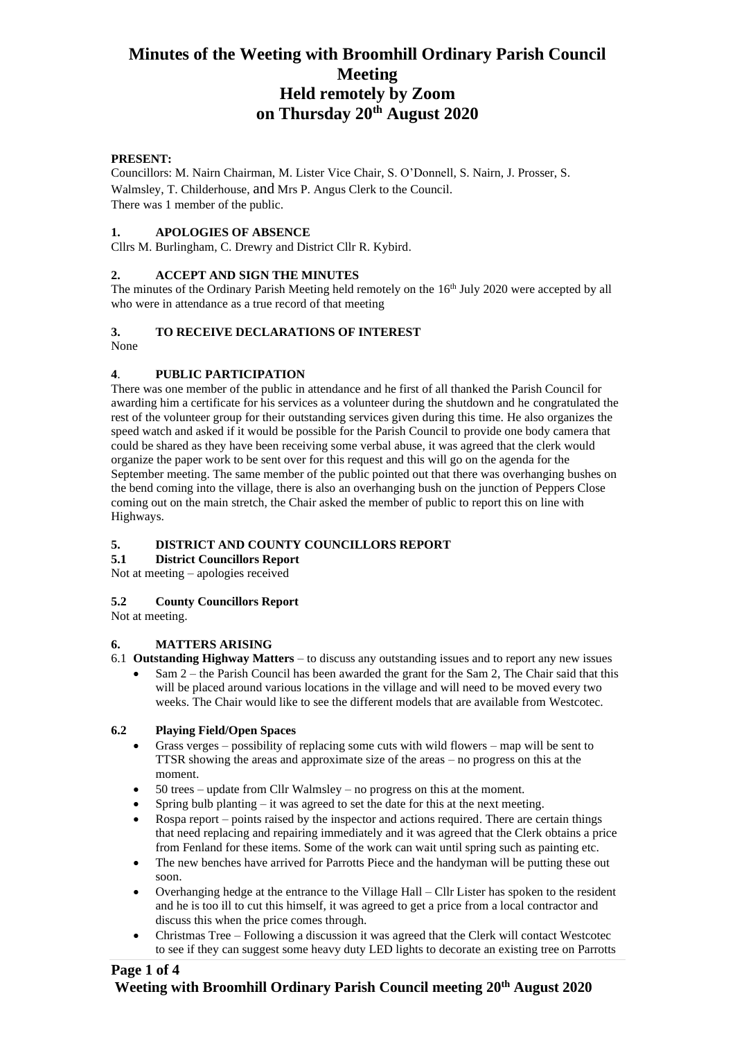## **Minutes of the Weeting with Broomhill Ordinary Parish Council Meeting Held remotely by Zoom on Thursday 20th August 2020**

#### **PRESENT:**

Councillors: M. Nairn Chairman, M. Lister Vice Chair, S. O'Donnell, S. Nairn, J. Prosser, S. Walmsley, T. Childerhouse, and Mrs P. Angus Clerk to the Council. There was 1 member of the public.

#### **1. APOLOGIES OF ABSENCE**

Cllrs M. Burlingham, C. Drewry and District Cllr R. Kybird.

#### **2. ACCEPT AND SIGN THE MINUTES**

The minutes of the Ordinary Parish Meeting held remotely on the 16<sup>th</sup> July 2020 were accepted by all who were in attendance as a true record of that meeting

#### **3. TO RECEIVE DECLARATIONS OF INTEREST**

None

#### **4**. **PUBLIC PARTICIPATION**

There was one member of the public in attendance and he first of all thanked the Parish Council for awarding him a certificate for his services as a volunteer during the shutdown and he congratulated the rest of the volunteer group for their outstanding services given during this time. He also organizes the speed watch and asked if it would be possible for the Parish Council to provide one body camera that could be shared as they have been receiving some verbal abuse, it was agreed that the clerk would organize the paper work to be sent over for this request and this will go on the agenda for the September meeting. The same member of the public pointed out that there was overhanging bushes on the bend coming into the village, there is also an overhanging bush on the junction of Peppers Close coming out on the main stretch, the Chair asked the member of public to report this on line with Highways.

# **5. DISTRICT AND COUNTY COUNCILLORS REPORT**

**5.1 District Councillors Report**

Not at meeting – apologies received

#### **5.2 County Councillors Report**

Not at meeting.

#### **6. MATTERS ARISING**

- 6.1 **Outstanding Highway Matters** to discuss any outstanding issues and to report any new issues
	- Sam 2 the Parish Council has been awarded the grant for the Sam 2, The Chair said that this will be placed around various locations in the village and will need to be moved every two weeks. The Chair would like to see the different models that are available from Westcotec.

#### **6.2 Playing Field/Open Spaces**

- Grass verges possibility of replacing some cuts with wild flowers map will be sent to TTSR showing the areas and approximate size of the areas – no progress on this at the moment.
- 50 trees update from Cllr Walmsley no progress on this at the moment.
- Spring bulb planting  $-$  it was agreed to set the date for this at the next meeting.
- Rospa report points raised by the inspector and actions required. There are certain things that need replacing and repairing immediately and it was agreed that the Clerk obtains a price from Fenland for these items. Some of the work can wait until spring such as painting etc.
- The new benches have arrived for Parrotts Piece and the handyman will be putting these out soon.
- Overhanging hedge at the entrance to the Village Hall Cllr Lister has spoken to the resident and he is too ill to cut this himself, it was agreed to get a price from a local contractor and discuss this when the price comes through.
- Christmas Tree Following a discussion it was agreed that the Clerk will contact Westcotec to see if they can suggest some heavy duty LED lights to decorate an existing tree on Parrotts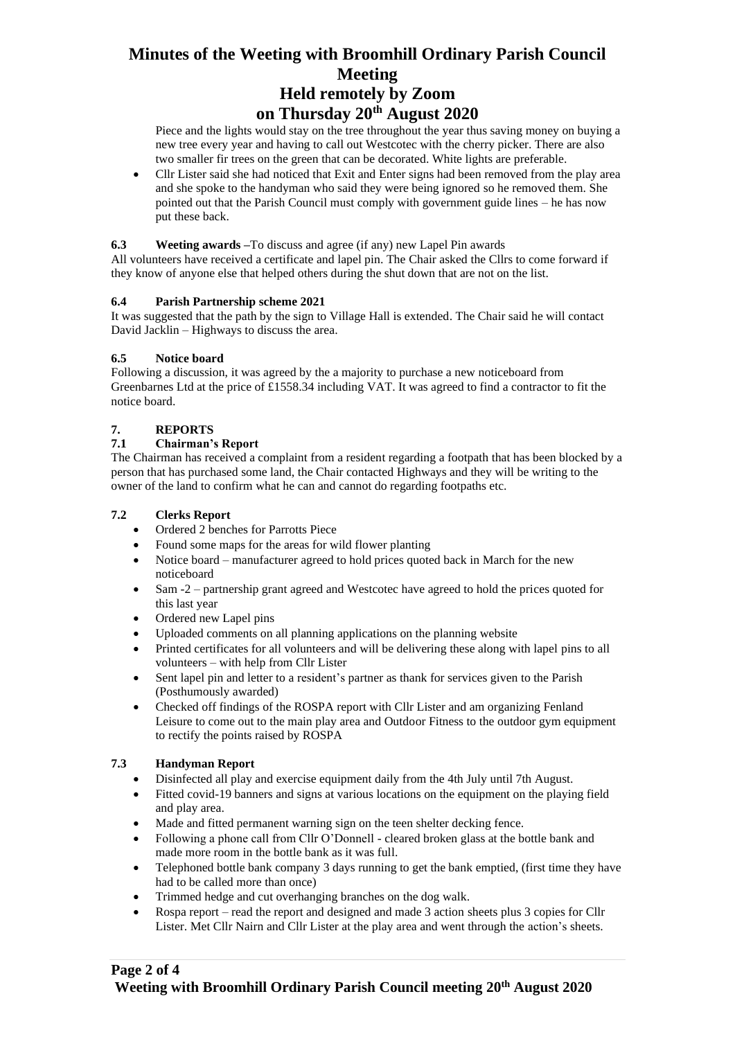## **Minutes of the Weeting with Broomhill Ordinary Parish Council Meeting Held remotely by Zoom on Thursday 20th August 2020**

Piece and the lights would stay on the tree throughout the year thus saving money on buying a new tree every year and having to call out Westcotec with the cherry picker. There are also two smaller fir trees on the green that can be decorated. White lights are preferable.

• Cllr Lister said she had noticed that Exit and Enter signs had been removed from the play area and she spoke to the handyman who said they were being ignored so he removed them. She pointed out that the Parish Council must comply with government guide lines – he has now put these back.

#### **6.3 Weeting awards –**To discuss and agree (if any) new Lapel Pin awards

All volunteers have received a certificate and lapel pin. The Chair asked the Cllrs to come forward if they know of anyone else that helped others during the shut down that are not on the list.

#### **6.4 Parish Partnership scheme 2021**

It was suggested that the path by the sign to Village Hall is extended. The Chair said he will contact David Jacklin – Highways to discuss the area.

#### **6.5 Notice board**

Following a discussion, it was agreed by the a majority to purchase a new noticeboard from Greenbarnes Ltd at the price of £1558.34 including VAT. It was agreed to find a contractor to fit the notice board.

#### **7. REPORTS**

#### **7.1 Chairman's Report**

The Chairman has received a complaint from a resident regarding a footpath that has been blocked by a person that has purchased some land, the Chair contacted Highways and they will be writing to the owner of the land to confirm what he can and cannot do regarding footpaths etc.

#### **7.2 Clerks Report**

- Ordered 2 benches for Parrotts Piece
- Found some maps for the areas for wild flower planting
- Notice board manufacturer agreed to hold prices quoted back in March for the new noticeboard
- Sam -2 partnership grant agreed and Westcotec have agreed to hold the prices quoted for this last year
- Ordered new Lapel pins
- Uploaded comments on all planning applications on the planning website
- Printed certificates for all volunteers and will be delivering these along with lapel pins to all volunteers – with help from Cllr Lister
- Sent lapel pin and letter to a resident's partner as thank for services given to the Parish (Posthumously awarded)
- Checked off findings of the ROSPA report with Cllr Lister and am organizing Fenland Leisure to come out to the main play area and Outdoor Fitness to the outdoor gym equipment to rectify the points raised by ROSPA

#### **7.3 Handyman Report**

- Disinfected all play and exercise equipment daily from the 4th July until 7th August.
- Fitted covid-19 banners and signs at various locations on the equipment on the playing field and play area.
- Made and fitted permanent warning sign on the teen shelter decking fence.
- Following a phone call from Cllr O'Donnell cleared broken glass at the bottle bank and made more room in the bottle bank as it was full.
- Telephoned bottle bank company 3 days running to get the bank emptied, (first time they have had to be called more than once)
- Trimmed hedge and cut overhanging branches on the dog walk.
- Rospa report read the report and designed and made 3 action sheets plus 3 copies for Cllr Lister. Met Cllr Nairn and Cllr Lister at the play area and went through the action's sheets.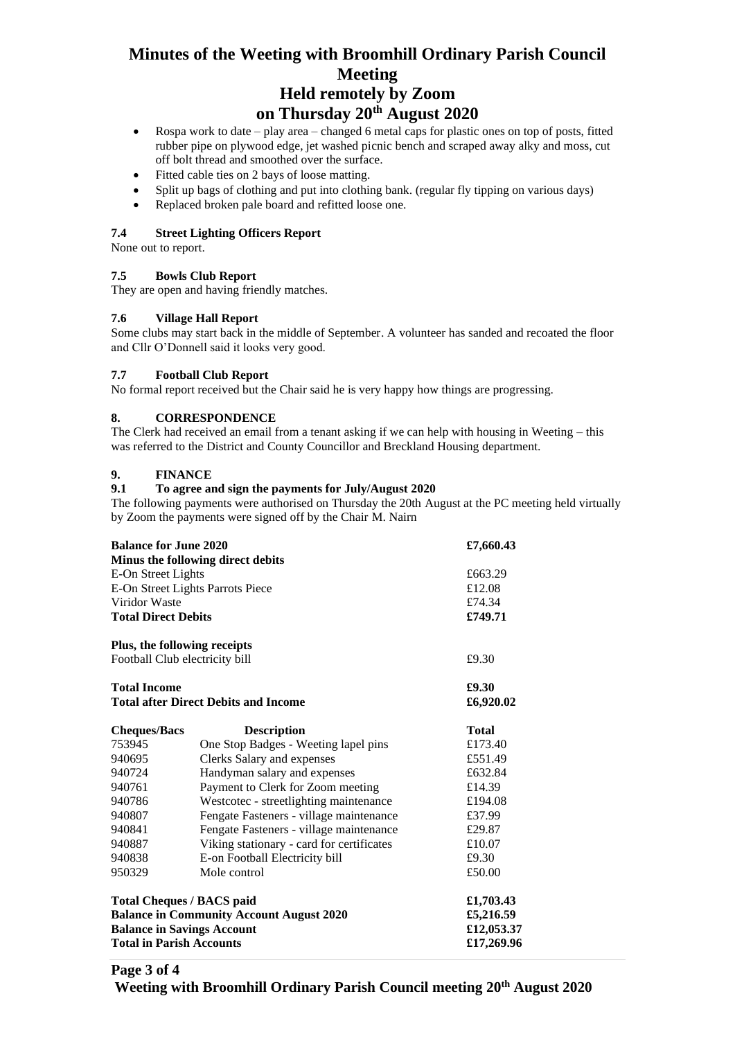## **Minutes of the Weeting with Broomhill Ordinary Parish Council Meeting Held remotely by Zoom**

## **on Thursday 20th August 2020**

- Rospa work to date play area changed 6 metal caps for plastic ones on top of posts, fitted rubber pipe on plywood edge, jet washed picnic bench and scraped away alky and moss, cut off bolt thread and smoothed over the surface.
- Fitted cable ties on 2 bays of loose matting.
- Split up bags of clothing and put into clothing bank. (regular fly tipping on various days)
- Replaced broken pale board and refitted loose one.

#### **7.4 Street Lighting Officers Report**

None out to report.

#### **7.5 Bowls Club Report**

They are open and having friendly matches.

#### **7.6 Village Hall Report**

Some clubs may start back in the middle of September. A volunteer has sanded and recoated the floor and Cllr O'Donnell said it looks very good.

#### **7.7 Football Club Report**

No formal report received but the Chair said he is very happy how things are progressing.

#### **8. CORRESPONDENCE**

The Clerk had received an email from a tenant asking if we can help with housing in Weeting – this was referred to the District and County Councillor and Breckland Housing department.

#### **9. FINANCE**

#### **9.1 To agree and sign the payments for July/August 2020**

The following payments were authorised on Thursday the 20th August at the PC meeting held virtually by Zoom the payments were signed off by the Chair M. Nairn

| <b>Balance for June 2020</b><br>Minus the following direct debits                                    |                                           | £7,660.43         |
|------------------------------------------------------------------------------------------------------|-------------------------------------------|-------------------|
| E-On Street Lights                                                                                   |                                           | £663.29           |
| E-On Street Lights Parrots Piece                                                                     |                                           | £12.08            |
| Viridor Waste<br><b>Total Direct Debits</b>                                                          |                                           | £74.34<br>£749.71 |
|                                                                                                      |                                           |                   |
| Football Club electricity bill<br><b>Total Income</b><br><b>Total after Direct Debits and Income</b> |                                           | £9.30             |
|                                                                                                      |                                           | £9.30             |
|                                                                                                      |                                           | £6,920.02         |
| <b>Cheques/Bacs</b>                                                                                  | <b>Description</b>                        | <b>Total</b>      |
| 753945                                                                                               | One Stop Badges - Weeting lapel pins      | £173.40           |
| 940695                                                                                               | Clerks Salary and expenses                | £551.49           |
| 940724                                                                                               | Handyman salary and expenses              | £632.84           |
| 940761                                                                                               | Payment to Clerk for Zoom meeting         | £14.39            |
| 940786                                                                                               | Westcotec - streetlighting maintenance    | £194.08           |
| 940807                                                                                               | Fengate Fasteners - village maintenance   | £37.99            |
| 940841                                                                                               | Fengate Fasteners - village maintenance   | £29.87            |
| 940887                                                                                               | Viking stationary - card for certificates | £10.07            |
| 940838                                                                                               | E-on Football Electricity bill            | £9.30             |
| 950329                                                                                               | Mole control                              | £50.00            |
| <b>Total Cheques / BACS paid</b>                                                                     | £1,703.43                                 |                   |
| <b>Balance in Community Account August 2020</b>                                                      | £5,216.59                                 |                   |
| <b>Balance in Savings Account</b>                                                                    | £12,053.37                                |                   |
| <b>Total in Parish Accounts</b>                                                                      | £17,269.96                                |                   |